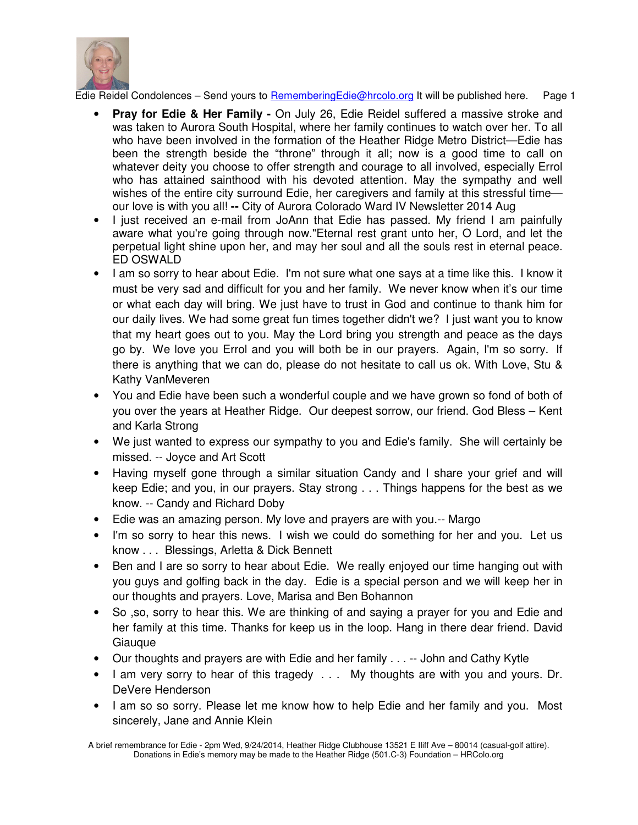

- **Pray for Edie & Her Family -** On July 26, Edie Reidel suffered a massive stroke and was taken to Aurora South Hospital, where her family continues to watch over her. To all who have been involved in the formation of the Heather Ridge Metro District—Edie has been the strength beside the "throne" through it all; now is a good time to call on whatever deity you choose to offer strength and courage to all involved, especially Errol who has attained sainthood with his devoted attention. May the sympathy and well wishes of the entire city surround Edie, her caregivers and family at this stressful time our love is with you all! **--** City of Aurora Colorado Ward IV Newsletter 2014 Aug
- I just received an e-mail from JoAnn that Edie has passed. My friend I am painfully aware what you're going through now."Eternal rest grant unto her, O Lord, and let the perpetual light shine upon her, and may her soul and all the souls rest in eternal peace. ED OSWALD
- I am so sorry to hear about Edie. I'm not sure what one says at a time like this. I know it must be very sad and difficult for you and her family. We never know when it's our time or what each day will bring. We just have to trust in God and continue to thank him for our daily lives. We had some great fun times together didn't we? I just want you to know that my heart goes out to you. May the Lord bring you strength and peace as the days go by. We love you Errol and you will both be in our prayers. Again, I'm so sorry. If there is anything that we can do, please do not hesitate to call us ok. With Love, Stu & Kathy VanMeveren
- You and Edie have been such a wonderful couple and we have grown so fond of both of you over the years at Heather Ridge. Our deepest sorrow, our friend. God Bless – Kent and Karla Strong
- We just wanted to express our sympathy to you and Edie's family. She will certainly be missed. -- Joyce and Art Scott
- Having myself gone through a similar situation Candy and I share your grief and will keep Edie; and you, in our prayers. Stay strong . . . Things happens for the best as we know. -- Candy and Richard Doby
- Edie was an amazing person. My love and prayers are with you.-- Margo
- I'm so sorry to hear this news. I wish we could do something for her and you. Let us know . . . Blessings, Arletta & Dick Bennett
- Ben and I are so sorry to hear about Edie. We really enjoyed our time hanging out with you guys and golfing back in the day. Edie is a special person and we will keep her in our thoughts and prayers. Love, Marisa and Ben Bohannon
- So ,so, sorry to hear this. We are thinking of and saying a prayer for you and Edie and her family at this time. Thanks for keep us in the loop. Hang in there dear friend. David **Giaugue**
- Our thoughts and prayers are with Edie and her family . . . -- John and Cathy Kytle
- I am very sorry to hear of this tragedy . . . My thoughts are with you and yours. Dr. DeVere Henderson
- I am so so sorry. Please let me know how to help Edie and her family and you. Most sincerely, Jane and Annie Klein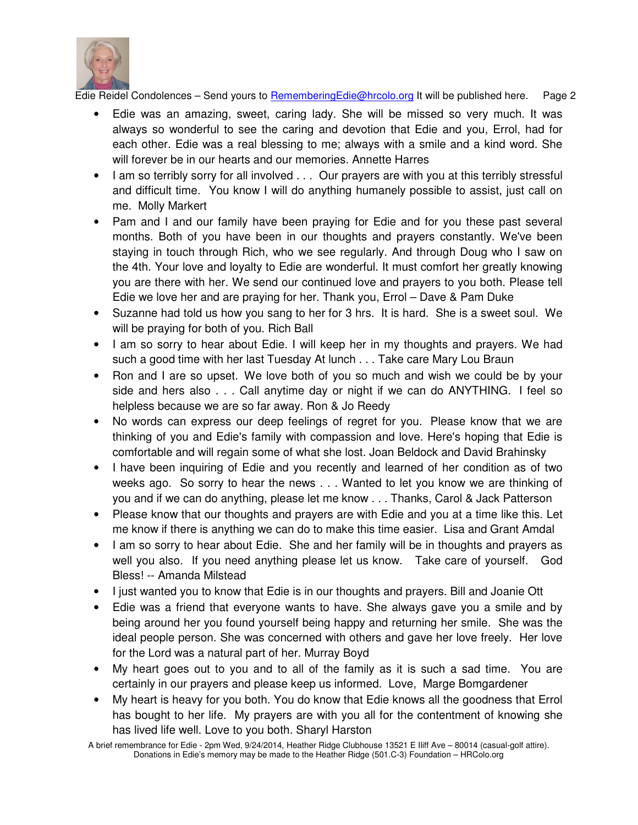

- Edie was an amazing, sweet, caring lady. She will be missed so very much. It was always so wonderful to see the caring and devotion that Edie and you, Errol, had for each other. Edie was a real blessing to me; always with a smile and a kind word. She will forever be in our hearts and our memories. Annette Harres
- I am so terribly sorry for all involved . . . Our prayers are with you at this terribly stressful and difficult time. You know I will do anything humanely possible to assist, just call on me. Molly Markert
- Pam and I and our family have been praying for Edie and for you these past several months. Both of you have been in our thoughts and prayers constantly. We've been staying in touch through Rich, who we see regularly. And through Doug who I saw on the 4th. Your love and loyalty to Edie are wonderful. It must comfort her greatly knowing you are there with her. We send our continued love and prayers to you both. Please tell Edie we love her and are praying for her. Thank you, Errol – Dave & Pam Duke
- Suzanne had told us how you sang to her for 3 hrs. It is hard. She is a sweet soul. We will be praying for both of you. Rich Ball
- I am so sorry to hear about Edie. I will keep her in my thoughts and prayers. We had such a good time with her last Tuesday At lunch . . . Take care Mary Lou Braun
- Ron and I are so upset. We love both of you so much and wish we could be by your side and hers also . . . Call anytime day or night if we can do ANYTHING. I feel so helpless because we are so far away. Ron & Jo Reedy
- No words can express our deep feelings of regret for you. Please know that we are thinking of you and Edie's family with compassion and love. Here's hoping that Edie is comfortable and will regain some of what she lost. Joan Beldock and David Brahinsky
- I have been inquiring of Edie and you recently and learned of her condition as of two weeks ago. So sorry to hear the news . . . Wanted to let you know we are thinking of you and if we can do anything, please let me know . . . Thanks, Carol & Jack Patterson
- Please know that our thoughts and prayers are with Edie and you at a time like this. Let me know if there is anything we can do to make this time easier. Lisa and Grant Amdal
- I am so sorry to hear about Edie. She and her family will be in thoughts and prayers as well you also. If you need anything please let us know. Take care of yourself. God Bless! -- Amanda Milstead
- I just wanted you to know that Edie is in our thoughts and prayers. Bill and Joanie Ott
- Edie was a friend that everyone wants to have. She always gave you a smile and by being around her you found yourself being happy and returning her smile. She was the ideal people person. She was concerned with others and gave her love freely. Her love for the Lord was a natural part of her. Murray Boyd
- My heart goes out to you and to all of the family as it is such a sad time. You are certainly in our prayers and please keep us informed. Love, Marge Bomgardener
- My heart is heavy for you both. You do know that Edie knows all the goodness that Errol has bought to her life. My prayers are with you all for the contentment of knowing she has lived life well. Love to you both. Sharyl Harston

A brief remembrance for Edie - 2pm Wed, 9/24/2014, Heather Ridge Clubhouse 13521 E Iliff Ave – 80014 (casual-golf attire). Donations in Edie's memory may be made to the Heather Ridge (501.C-3) Foundation – HRColo.org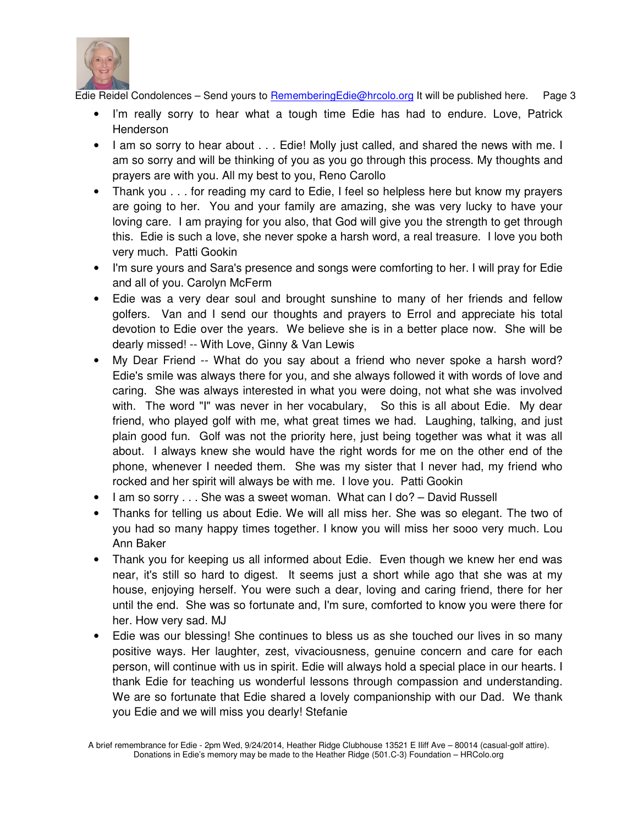

- I'm really sorry to hear what a tough time Edie has had to endure. Love, Patrick **Henderson**
- I am so sorry to hear about . . . Edie! Molly just called, and shared the news with me. I am so sorry and will be thinking of you as you go through this process. My thoughts and prayers are with you. All my best to you, Reno Carollo
- Thank you . . . for reading my card to Edie, I feel so helpless here but know my prayers are going to her. You and your family are amazing, she was very lucky to have your loving care. I am praying for you also, that God will give you the strength to get through this. Edie is such a love, she never spoke a harsh word, a real treasure. I love you both very much. Patti Gookin
- I'm sure yours and Sara's presence and songs were comforting to her. I will pray for Edie and all of you. Carolyn McFerm
- Edie was a very dear soul and brought sunshine to many of her friends and fellow golfers. Van and I send our thoughts and prayers to Errol and appreciate his total devotion to Edie over the years. We believe she is in a better place now. She will be dearly missed! -- With Love, Ginny & Van Lewis
- My Dear Friend -- What do you say about a friend who never spoke a harsh word? Edie's smile was always there for you, and she always followed it with words of love and caring. She was always interested in what you were doing, not what she was involved with. The word "I" was never in her vocabulary, So this is all about Edie. My dear friend, who played golf with me, what great times we had. Laughing, talking, and just plain good fun. Golf was not the priority here, just being together was what it was all about. I always knew she would have the right words for me on the other end of the phone, whenever I needed them. She was my sister that I never had, my friend who rocked and her spirit will always be with me. I love you. Patti Gookin
- I am so sorry . . . She was a sweet woman. What can I do? David Russell
- Thanks for telling us about Edie. We will all miss her. She was so elegant. The two of you had so many happy times together. I know you will miss her sooo very much. Lou Ann Baker
- Thank you for keeping us all informed about Edie. Even though we knew her end was near, it's still so hard to digest. It seems just a short while ago that she was at my house, enjoying herself. You were such a dear, loving and caring friend, there for her until the end. She was so fortunate and, I'm sure, comforted to know you were there for her. How very sad. MJ
- Edie was our blessing! She continues to bless us as she touched our lives in so many positive ways. Her laughter, zest, vivaciousness, genuine concern and care for each person, will continue with us in spirit. Edie will always hold a special place in our hearts. I thank Edie for teaching us wonderful lessons through compassion and understanding. We are so fortunate that Edie shared a lovely companionship with our Dad. We thank you Edie and we will miss you dearly! Stefanie

A brief remembrance for Edie - 2pm Wed, 9/24/2014, Heather Ridge Clubhouse 13521 E Iliff Ave – 80014 (casual-golf attire). Donations in Edie's memory may be made to the Heather Ridge (501.C-3) Foundation – HRColo.org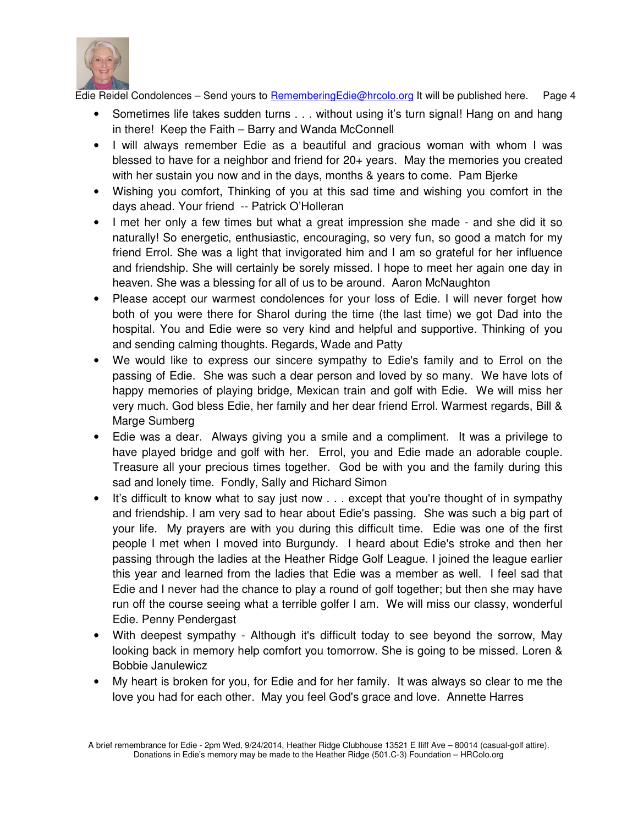

- Sometimes life takes sudden turns . . . without using it's turn signal! Hang on and hang in there! Keep the Faith – Barry and Wanda McConnell
- I will always remember Edie as a beautiful and gracious woman with whom I was blessed to have for a neighbor and friend for 20+ years. May the memories you created with her sustain you now and in the days, months & years to come. Pam Bjerke
- Wishing you comfort, Thinking of you at this sad time and wishing you comfort in the days ahead. Your friend -- Patrick O'Holleran
- I met her only a few times but what a great impression she made and she did it so naturally! So energetic, enthusiastic, encouraging, so very fun, so good a match for my friend Errol. She was a light that invigorated him and I am so grateful for her influence and friendship. She will certainly be sorely missed. I hope to meet her again one day in heaven. She was a blessing for all of us to be around. Aaron McNaughton
- Please accept our warmest condolences for your loss of Edie. I will never forget how both of you were there for Sharol during the time (the last time) we got Dad into the hospital. You and Edie were so very kind and helpful and supportive. Thinking of you and sending calming thoughts. Regards, Wade and Patty
- We would like to express our sincere sympathy to Edie's family and to Errol on the passing of Edie. She was such a dear person and loved by so many. We have lots of happy memories of playing bridge, Mexican train and golf with Edie. We will miss her very much. God bless Edie, her family and her dear friend Errol. Warmest regards, Bill & Marge Sumberg
- Edie was a dear. Always giving you a smile and a compliment. It was a privilege to have played bridge and golf with her. Errol, you and Edie made an adorable couple. Treasure all your precious times together. God be with you and the family during this sad and lonely time. Fondly, Sally and Richard Simon
- It's difficult to know what to say just now . . . except that you're thought of in sympathy and friendship. I am very sad to hear about Edie's passing. She was such a big part of your life. My prayers are with you during this difficult time. Edie was one of the first people I met when I moved into Burgundy. I heard about Edie's stroke and then her passing through the ladies at the Heather Ridge Golf League. I joined the league earlier this year and learned from the ladies that Edie was a member as well. I feel sad that Edie and I never had the chance to play a round of golf together; but then she may have run off the course seeing what a terrible golfer I am. We will miss our classy, wonderful Edie. Penny Pendergast
- With deepest sympathy Although it's difficult today to see beyond the sorrow, May looking back in memory help comfort you tomorrow. She is going to be missed. Loren & Bobbie Janulewicz
- My heart is broken for you, for Edie and for her family. It was always so clear to me the love you had for each other. May you feel God's grace and love. Annette Harres

A brief remembrance for Edie - 2pm Wed, 9/24/2014, Heather Ridge Clubhouse 13521 E Iliff Ave – 80014 (casual-golf attire). Donations in Edie's memory may be made to the Heather Ridge (501.C-3) Foundation – HRColo.org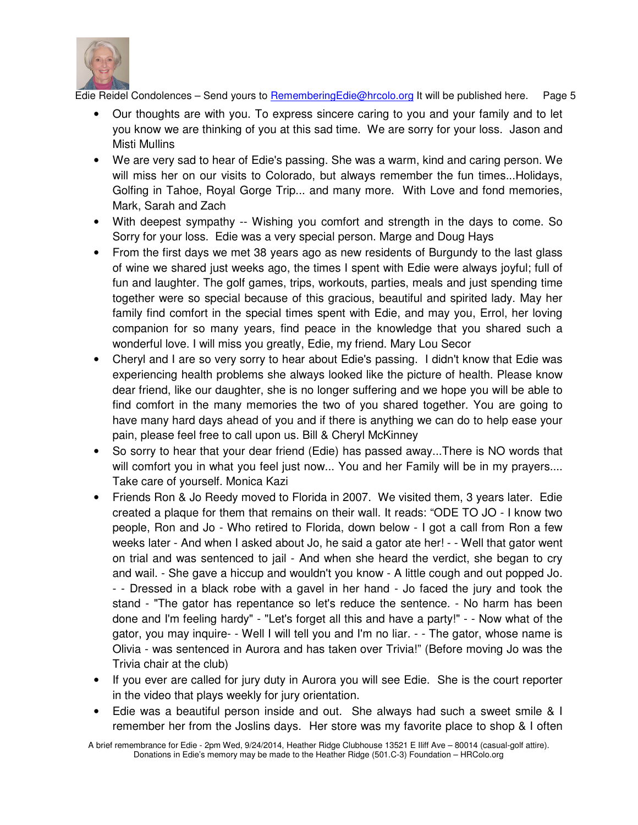

- Our thoughts are with you. To express sincere caring to you and your family and to let you know we are thinking of you at this sad time. We are sorry for your loss. Jason and Misti Mullins
- We are very sad to hear of Edie's passing. She was a warm, kind and caring person. We will miss her on our visits to Colorado, but always remember the fun times...Holidays, Golfing in Tahoe, Royal Gorge Trip... and many more. With Love and fond memories, Mark, Sarah and Zach
- With deepest sympathy -- Wishing you comfort and strength in the days to come. So Sorry for your loss. Edie was a very special person. Marge and Doug Hays
- From the first days we met 38 years ago as new residents of Burgundy to the last glass of wine we shared just weeks ago, the times I spent with Edie were always joyful; full of fun and laughter. The golf games, trips, workouts, parties, meals and just spending time together were so special because of this gracious, beautiful and spirited lady. May her family find comfort in the special times spent with Edie, and may you, Errol, her loving companion for so many years, find peace in the knowledge that you shared such a wonderful love. I will miss you greatly, Edie, my friend. Mary Lou Secor
- Cheryl and I are so very sorry to hear about Edie's passing. I didn't know that Edie was experiencing health problems she always looked like the picture of health. Please know dear friend, like our daughter, she is no longer suffering and we hope you will be able to find comfort in the many memories the two of you shared together. You are going to have many hard days ahead of you and if there is anything we can do to help ease your pain, please feel free to call upon us. Bill & Cheryl McKinney
- So sorry to hear that your dear friend (Edie) has passed away...There is NO words that will comfort you in what you feel just now... You and her Family will be in my prayers.... Take care of yourself. Monica Kazi
- Friends Ron & Jo Reedy moved to Florida in 2007. We visited them, 3 years later. Edie created a plaque for them that remains on their wall. It reads: "ODE TO JO - I know two people, Ron and Jo - Who retired to Florida, down below - I got a call from Ron a few weeks later - And when I asked about Jo, he said a gator ate her! - - Well that gator went on trial and was sentenced to jail - And when she heard the verdict, she began to cry and wail. - She gave a hiccup and wouldn't you know - A little cough and out popped Jo. - - Dressed in a black robe with a gavel in her hand - Jo faced the jury and took the stand - "The gator has repentance so let's reduce the sentence. - No harm has been done and I'm feeling hardy" - "Let's forget all this and have a party!" - - Now what of the gator, you may inquire- - Well I will tell you and I'm no liar. - - The gator, whose name is Olivia - was sentenced in Aurora and has taken over Trivia!" (Before moving Jo was the Trivia chair at the club)
- If you ever are called for jury duty in Aurora you will see Edie. She is the court reporter in the video that plays weekly for jury orientation.
- Edie was a beautiful person inside and out. She always had such a sweet smile & I remember her from the Joslins days. Her store was my favorite place to shop & I often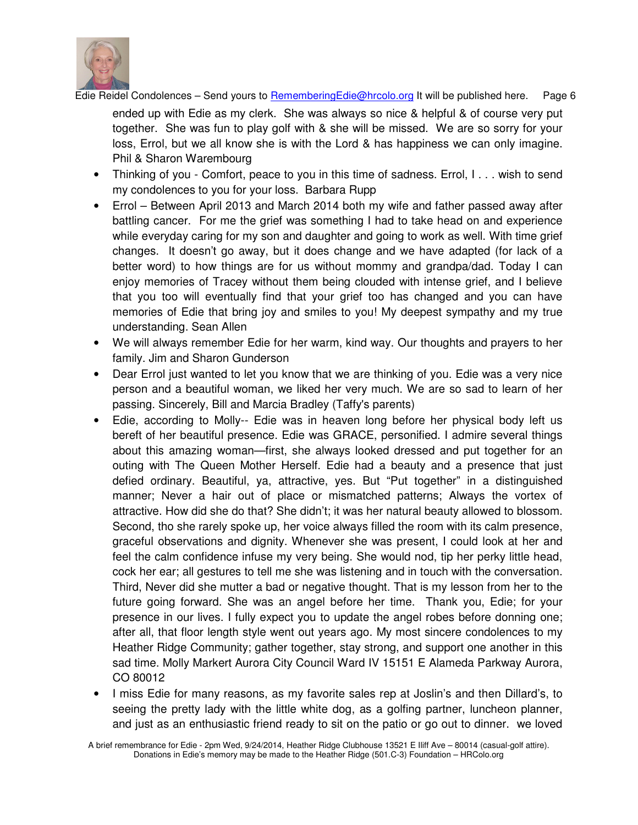

ended up with Edie as my clerk. She was always so nice & helpful & of course very put together. She was fun to play golf with & she will be missed. We are so sorry for your loss, Errol, but we all know she is with the Lord & has happiness we can only imagine. Phil & Sharon Warembourg

- Thinking of you Comfort, peace to you in this time of sadness. Errol, I... wish to send my condolences to you for your loss. Barbara Rupp
- Errol Between April 2013 and March 2014 both my wife and father passed away after battling cancer. For me the grief was something I had to take head on and experience while evervday caring for my son and daughter and going to work as well. With time grief changes. It doesn't go away, but it does change and we have adapted (for lack of a better word) to how things are for us without mommy and grandpa/dad. Today I can enjoy memories of Tracey without them being clouded with intense grief, and I believe that you too will eventually find that your grief too has changed and you can have memories of Edie that bring joy and smiles to you! My deepest sympathy and my true understanding. Sean Allen
- We will always remember Edie for her warm, kind way. Our thoughts and prayers to her family. Jim and Sharon Gunderson
- Dear Errol just wanted to let you know that we are thinking of you. Edie was a very nice person and a beautiful woman, we liked her very much. We are so sad to learn of her passing. Sincerely, Bill and Marcia Bradley (Taffy's parents)
- Edie, according to Molly-- Edie was in heaven long before her physical body left us bereft of her beautiful presence. Edie was GRACE, personified. I admire several things about this amazing woman—first, she always looked dressed and put together for an outing with The Queen Mother Herself. Edie had a beauty and a presence that just defied ordinary. Beautiful, ya, attractive, yes. But "Put together" in a distinguished manner; Never a hair out of place or mismatched patterns; Always the vortex of attractive. How did she do that? She didn't; it was her natural beauty allowed to blossom. Second, tho she rarely spoke up, her voice always filled the room with its calm presence, graceful observations and dignity. Whenever she was present, I could look at her and feel the calm confidence infuse my very being. She would nod, tip her perky little head, cock her ear; all gestures to tell me she was listening and in touch with the conversation. Third, Never did she mutter a bad or negative thought. That is my lesson from her to the future going forward. She was an angel before her time. Thank you, Edie; for your presence in our lives. I fully expect you to update the angel robes before donning one; after all, that floor length style went out years ago. My most sincere condolences to my Heather Ridge Community; gather together, stay strong, and support one another in this sad time. Molly Markert Aurora City Council Ward IV 15151 E Alameda Parkway Aurora, CO 80012
- I miss Edie for many reasons, as my favorite sales rep at Joslin's and then Dillard's, to seeing the pretty lady with the little white dog, as a golfing partner, luncheon planner, and just as an enthusiastic friend ready to sit on the patio or go out to dinner. we loved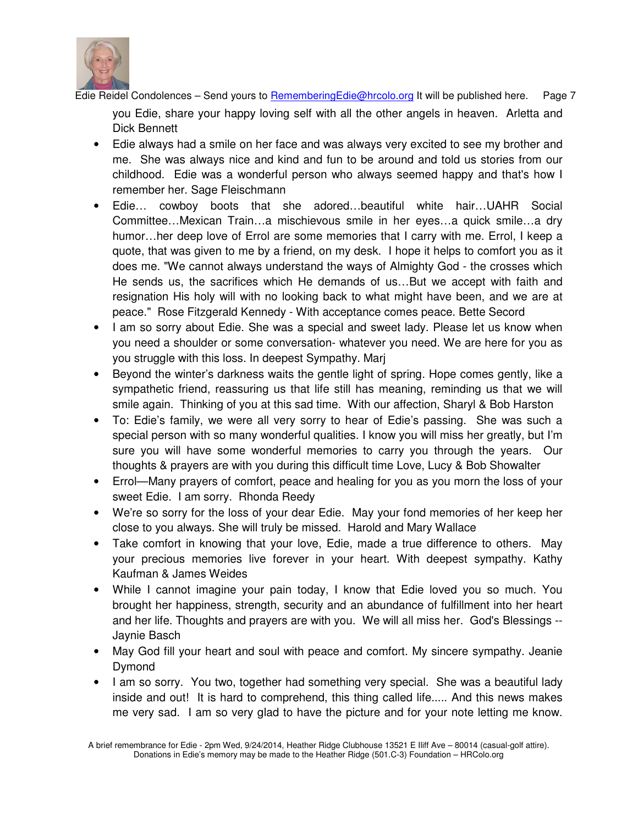

you Edie, share your happy loving self with all the other angels in heaven. Arletta and Dick Bennett

- Edie always had a smile on her face and was always very excited to see my brother and me. She was always nice and kind and fun to be around and told us stories from our childhood. Edie was a wonderful person who always seemed happy and that's how I remember her. Sage Fleischmann
- Edie… cowboy boots that she adored…beautiful white hair…UAHR Social Committee…Mexican Train…a mischievous smile in her eyes…a quick smile…a dry humor…her deep love of Errol are some memories that I carry with me. Errol, I keep a quote, that was given to me by a friend, on my desk. I hope it helps to comfort you as it does me. "We cannot always understand the ways of Almighty God - the crosses which He sends us, the sacrifices which He demands of us…But we accept with faith and resignation His holy will with no looking back to what might have been, and we are at peace." Rose Fitzgerald Kennedy - With acceptance comes peace. Bette Secord
- I am so sorry about Edie. She was a special and sweet lady. Please let us know when you need a shoulder or some conversation- whatever you need. We are here for you as you struggle with this loss. In deepest Sympathy. Marj
- Beyond the winter's darkness waits the gentle light of spring. Hope comes gently, like a sympathetic friend, reassuring us that life still has meaning, reminding us that we will smile again. Thinking of you at this sad time. With our affection, Sharyl & Bob Harston
- To: Edie's family, we were all very sorry to hear of Edie's passing. She was such a special person with so many wonderful qualities. I know you will miss her greatly, but I'm sure you will have some wonderful memories to carry you through the years. Our thoughts & prayers are with you during this difficult time Love, Lucy & Bob Showalter
- Errol—Many prayers of comfort, peace and healing for you as you morn the loss of your sweet Edie. I am sorry. Rhonda Reedy
- We're so sorry for the loss of your dear Edie. May your fond memories of her keep her close to you always. She will truly be missed. Harold and Mary Wallace
- Take comfort in knowing that your love, Edie, made a true difference to others. May your precious memories live forever in your heart. With deepest sympathy. Kathy Kaufman & James Weides
- While I cannot imagine your pain today, I know that Edie loved you so much. You brought her happiness, strength, security and an abundance of fulfillment into her heart and her life. Thoughts and prayers are with you. We will all miss her. God's Blessings -- Jaynie Basch
- May God fill your heart and soul with peace and comfort. My sincere sympathy. Jeanie Dymond
- I am so sorry. You two, together had something very special. She was a beautiful lady inside and out! It is hard to comprehend, this thing called life..... And this news makes me very sad. I am so very glad to have the picture and for your note letting me know.

A brief remembrance for Edie - 2pm Wed, 9/24/2014, Heather Ridge Clubhouse 13521 E Iliff Ave – 80014 (casual-golf attire). Donations in Edie's memory may be made to the Heather Ridge (501.C-3) Foundation – HRColo.org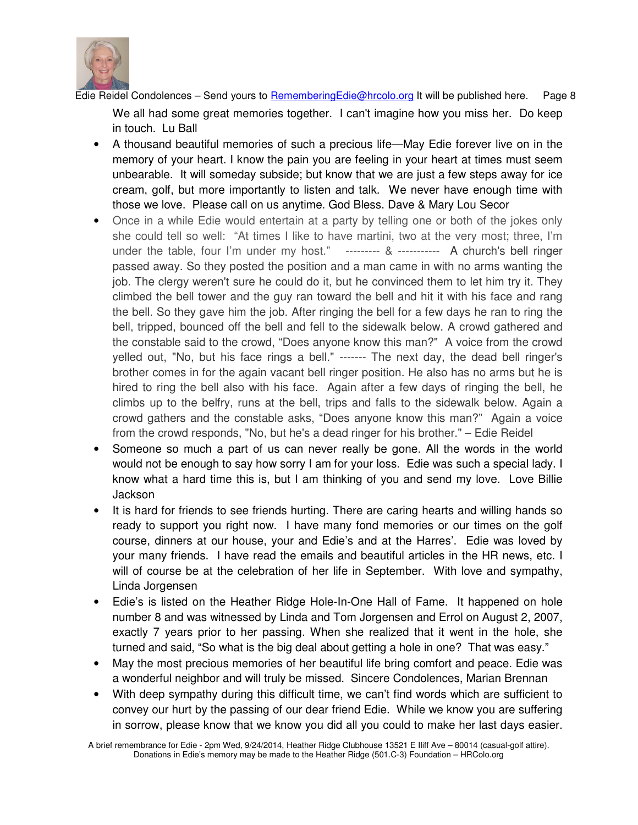

We all had some great memories together. I can't imagine how you miss her. Do keep in touch. Lu Ball

- A thousand beautiful memories of such a precious life—May Edie forever live on in the memory of your heart. I know the pain you are feeling in your heart at times must seem unbearable. It will someday subside; but know that we are just a few steps away for ice cream, golf, but more importantly to listen and talk. We never have enough time with those we love. Please call on us anytime. God Bless. Dave & Mary Lou Secor
- Once in a while Edie would entertain at a party by telling one or both of the jokes only she could tell so well: "At times I like to have martini, two at the very most; three, I'm under the table, four I'm under my host."--------- & ----------- A church's bell ringer passed away. So they posted the position and a man came in with no arms wanting the job. The clergy weren't sure he could do it, but he convinced them to let him try it. They climbed the bell tower and the guy ran toward the bell and hit it with his face and rang the bell. So they gave him the job. After ringing the bell for a few days he ran to ring the bell, tripped, bounced off the bell and fell to the sidewalk below. A crowd gathered and the constable said to the crowd, "Does anyone know this man?" A voice from the crowd yelled out, "No, but his face rings a bell." ------- The next day, the dead bell ringer's brother comes in for the again vacant bell ringer position. He also has no arms but he is hired to ring the bell also with his face. Again after a few days of ringing the bell, he climbs up to the belfry, runs at the bell, trips and falls to the sidewalk below. Again a crowd gathers and the constable asks, "Does anyone know this man?" Again a voice from the crowd responds, "No, but he's a dead ringer for his brother." – Edie Reidel
- Someone so much a part of us can never really be gone. All the words in the world would not be enough to say how sorry I am for your loss. Edie was such a special lady. I know what a hard time this is, but I am thinking of you and send my love. Love Billie **Jackson**
- It is hard for friends to see friends hurting. There are caring hearts and willing hands so ready to support you right now. I have many fond memories or our times on the golf course, dinners at our house, your and Edie's and at the Harres'. Edie was loved by your many friends. I have read the emails and beautiful articles in the HR news, etc. I will of course be at the celebration of her life in September. With love and sympathy, Linda Jorgensen
- Edie's is listed on the Heather Ridge Hole-In-One Hall of Fame. It happened on hole number 8 and was witnessed by Linda and Tom Jorgensen and Errol on August 2, 2007, exactly 7 years prior to her passing. When she realized that it went in the hole, she turned and said, "So what is the big deal about getting a hole in one? That was easy."
- May the most precious memories of her beautiful life bring comfort and peace. Edie was a wonderful neighbor and will truly be missed. Sincere Condolences, Marian Brennan
- With deep sympathy during this difficult time, we can't find words which are sufficient to convey our hurt by the passing of our dear friend Edie. While we know you are suffering in sorrow, please know that we know you did all you could to make her last days easier.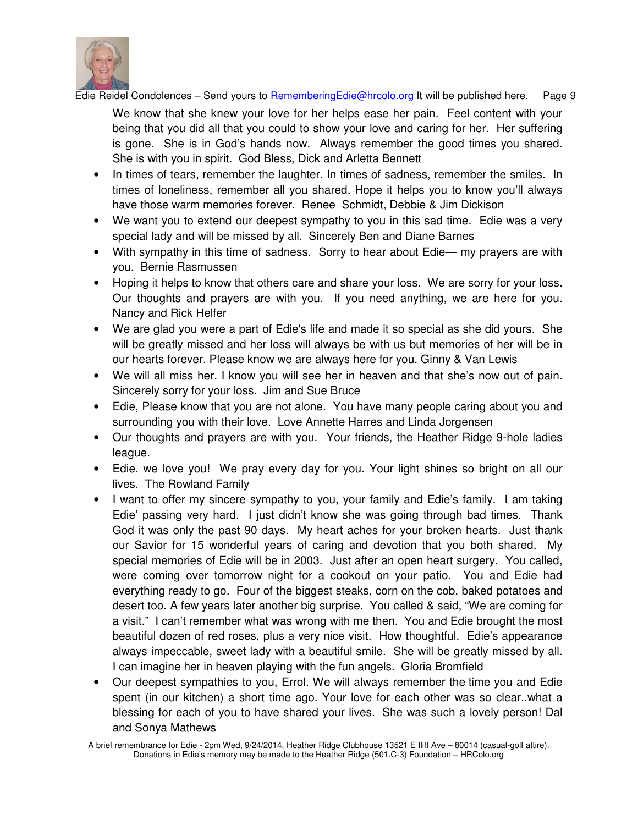

We know that she knew your love for her helps ease her pain. Feel content with your being that you did all that you could to show your love and caring for her. Her suffering is gone. She is in God's hands now. Always remember the good times you shared. She is with you in spirit. God Bless, Dick and Arletta Bennett

- In times of tears, remember the laughter. In times of sadness, remember the smiles. In times of loneliness, remember all you shared. Hope it helps you to know you'll always have those warm memories forever. Renee Schmidt, Debbie & Jim Dickison
- We want you to extend our deepest sympathy to you in this sad time. Edie was a very special lady and will be missed by all. Sincerely Ben and Diane Barnes
- With sympathy in this time of sadness. Sorry to hear about Edie— my prayers are with you. Bernie Rasmussen
- Hoping it helps to know that others care and share your loss. We are sorry for your loss. Our thoughts and prayers are with you. If you need anything, we are here for you. Nancy and Rick Helfer
- We are glad you were a part of Edie's life and made it so special as she did yours. She will be greatly missed and her loss will always be with us but memories of her will be in our hearts forever. Please know we are always here for you. Ginny & Van Lewis
- We will all miss her. I know you will see her in heaven and that she's now out of pain. Sincerely sorry for your loss. Jim and Sue Bruce
- Edie, Please know that you are not alone. You have many people caring about you and surrounding you with their love. Love Annette Harres and Linda Jorgensen
- Our thoughts and prayers are with you. Your friends, the Heather Ridge 9-hole ladies league.
- Edie, we love you! We pray every day for you. Your light shines so bright on all our lives. The Rowland Family
- I want to offer my sincere sympathy to you, your family and Edie's family. I am taking Edie' passing very hard. I just didn't know she was going through bad times. Thank God it was only the past 90 days. My heart aches for your broken hearts. Just thank our Savior for 15 wonderful years of caring and devotion that you both shared. My special memories of Edie will be in 2003. Just after an open heart surgery. You called, were coming over tomorrow night for a cookout on your patio. You and Edie had everything ready to go. Four of the biggest steaks, corn on the cob, baked potatoes and desert too. A few years later another big surprise. You called & said, "We are coming for a visit." I can't remember what was wrong with me then. You and Edie brought the most beautiful dozen of red roses, plus a very nice visit. How thoughtful. Edie's appearance always impeccable, sweet lady with a beautiful smile. She will be greatly missed by all. I can imagine her in heaven playing with the fun angels. Gloria Bromfield
- Our deepest sympathies to you, Errol. We will always remember the time you and Edie spent (in our kitchen) a short time ago. Your love for each other was so clear..what a blessing for each of you to have shared your lives. She was such a lovely person! Dal and Sonya Mathews

A brief remembrance for Edie - 2pm Wed, 9/24/2014, Heather Ridge Clubhouse 13521 E Iliff Ave – 80014 (casual-golf attire). Donations in Edie's memory may be made to the Heather Ridge (501.C-3) Foundation – HRColo.org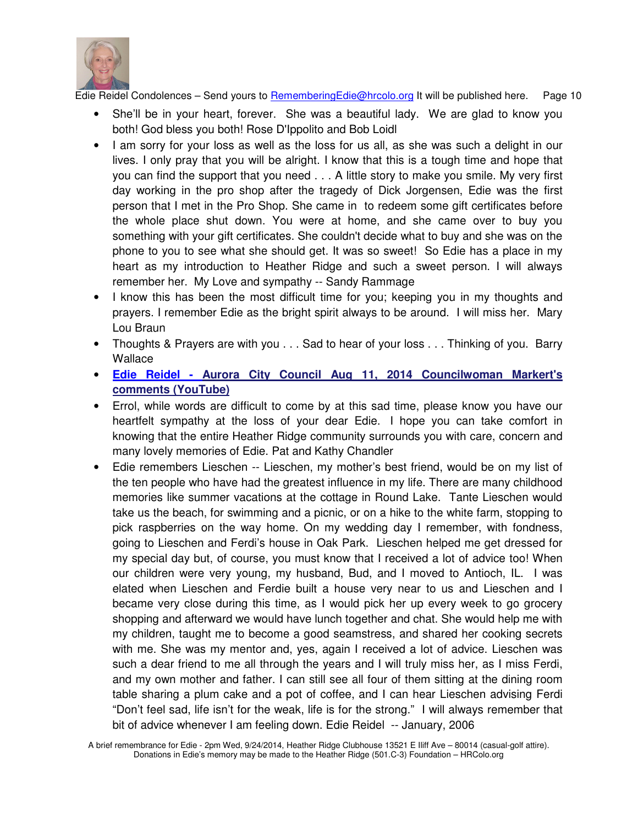

- She'll be in your heart, forever. She was a beautiful lady. We are glad to know you both! God bless you both! Rose D'Ippolito and Bob Loidl
- I am sorry for your loss as well as the loss for us all, as she was such a delight in our lives. I only pray that you will be alright. I know that this is a tough time and hope that you can find the support that you need . . . A little story to make you smile. My very first day working in the pro shop after the tragedy of Dick Jorgensen, Edie was the first person that I met in the Pro Shop. She came in to redeem some gift certificates before the whole place shut down. You were at home, and she came over to buy you something with your gift certificates. She couldn't decide what to buy and she was on the phone to you to see what she should get. It was so sweet! So Edie has a place in my heart as my introduction to Heather Ridge and such a sweet person. I will always remember her. My Love and sympathy -- Sandy Rammage
- I know this has been the most difficult time for you; keeping you in my thoughts and prayers. I remember Edie as the bright spirit always to be around. I will miss her. Mary Lou Braun
- Thoughts & Prayers are with you . . . Sad to hear of your loss . . . Thinking of you. Barry **Wallace**
- **Edie Reidel Aurora City Council Aug 11, 2014 Councilwoman Markert's comments (YouTube)**
- Errol, while words are difficult to come by at this sad time, please know you have our heartfelt sympathy at the loss of your dear Edie. I hope you can take comfort in knowing that the entire Heather Ridge community surrounds you with care, concern and many lovely memories of Edie. Pat and Kathy Chandler
- Edie remembers Lieschen -- Lieschen, my mother's best friend, would be on my list of the ten people who have had the greatest influence in my life. There are many childhood memories like summer vacations at the cottage in Round Lake. Tante Lieschen would take us the beach, for swimming and a picnic, or on a hike to the white farm, stopping to pick raspberries on the way home. On my wedding day I remember, with fondness, going to Lieschen and Ferdi's house in Oak Park. Lieschen helped me get dressed for my special day but, of course, you must know that I received a lot of advice too! When our children were very young, my husband, Bud, and I moved to Antioch, IL. I was elated when Lieschen and Ferdie built a house very near to us and Lieschen and I became very close during this time, as I would pick her up every week to go grocery shopping and afterward we would have lunch together and chat. She would help me with my children, taught me to become a good seamstress, and shared her cooking secrets with me. She was my mentor and, yes, again I received a lot of advice. Lieschen was such a dear friend to me all through the years and I will truly miss her, as I miss Ferdi, and my own mother and father. I can still see all four of them sitting at the dining room table sharing a plum cake and a pot of coffee, and I can hear Lieschen advising Ferdi "Don't feel sad, life isn't for the weak, life is for the strong." I will always remember that bit of advice whenever I am feeling down. Edie Reidel -- January, 2006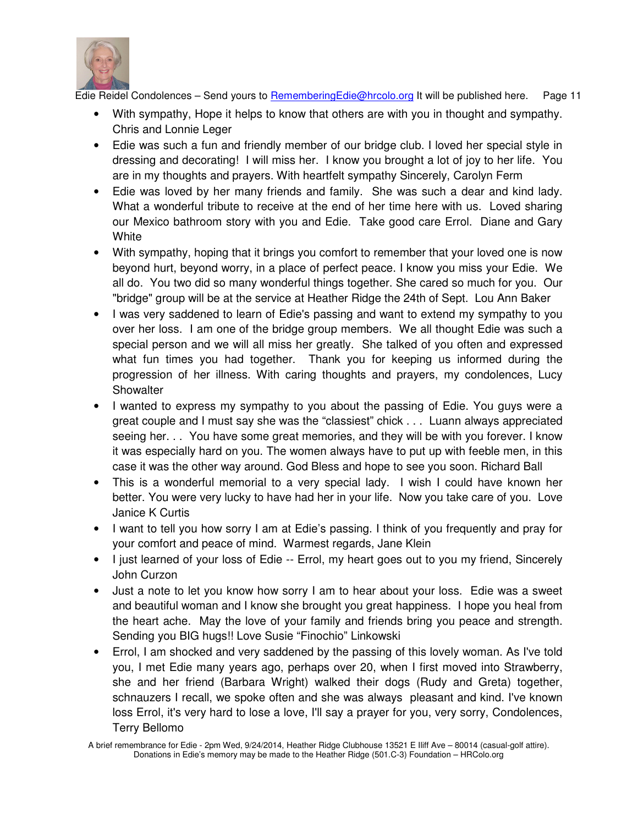

- With sympathy, Hope it helps to know that others are with you in thought and sympathy. Chris and Lonnie Leger
- Edie was such a fun and friendly member of our bridge club. I loved her special style in dressing and decorating! I will miss her. I know you brought a lot of joy to her life. You are in my thoughts and prayers. With heartfelt sympathy Sincerely, Carolyn Ferm
- Edie was loved by her many friends and family. She was such a dear and kind lady. What a wonderful tribute to receive at the end of her time here with us. Loved sharing our Mexico bathroom story with you and Edie. Take good care Errol. Diane and Gary **White**
- With sympathy, hoping that it brings you comfort to remember that your loved one is now beyond hurt, beyond worry, in a place of perfect peace. I know you miss your Edie. We all do. You two did so many wonderful things together. She cared so much for you. Our "bridge" group will be at the service at Heather Ridge the 24th of Sept. Lou Ann Baker
- I was very saddened to learn of Edie's passing and want to extend my sympathy to you over her loss. I am one of the bridge group members. We all thought Edie was such a special person and we will all miss her greatly. She talked of you often and expressed what fun times you had together. Thank you for keeping us informed during the progression of her illness. With caring thoughts and prayers, my condolences, Lucy **Showalter**
- I wanted to express my sympathy to you about the passing of Edie. You guys were a great couple and I must say she was the "classiest" chick . . . Luann always appreciated seeing her. . . You have some great memories, and they will be with you forever. I know it was especially hard on you. The women always have to put up with feeble men, in this case it was the other way around. God Bless and hope to see you soon. Richard Ball
- This is a wonderful memorial to a very special lady. I wish I could have known her better. You were very lucky to have had her in your life. Now you take care of you. Love Janice K Curtis
- I want to tell you how sorry I am at Edie's passing. I think of you frequently and pray for your comfort and peace of mind. Warmest regards, Jane Klein
- I just learned of your loss of Edie -- Errol, my heart goes out to you my friend, Sincerely John Curzon
- Just a note to let you know how sorry I am to hear about your loss. Edie was a sweet and beautiful woman and I know she brought you great happiness. I hope you heal from the heart ache. May the love of your family and friends bring you peace and strength. Sending you BIG hugs!! Love Susie "Finochio" Linkowski
- Errol, I am shocked and very saddened by the passing of this lovely woman. As I've told you, I met Edie many years ago, perhaps over 20, when I first moved into Strawberry, she and her friend (Barbara Wright) walked their dogs (Rudy and Greta) together, schnauzers I recall, we spoke often and she was always pleasant and kind. I've known loss Errol, it's very hard to lose a love, I'll say a prayer for you, very sorry, Condolences, Terry Bellomo

A brief remembrance for Edie - 2pm Wed, 9/24/2014, Heather Ridge Clubhouse 13521 E Iliff Ave – 80014 (casual-golf attire). Donations in Edie's memory may be made to the Heather Ridge (501.C-3) Foundation – HRColo.org